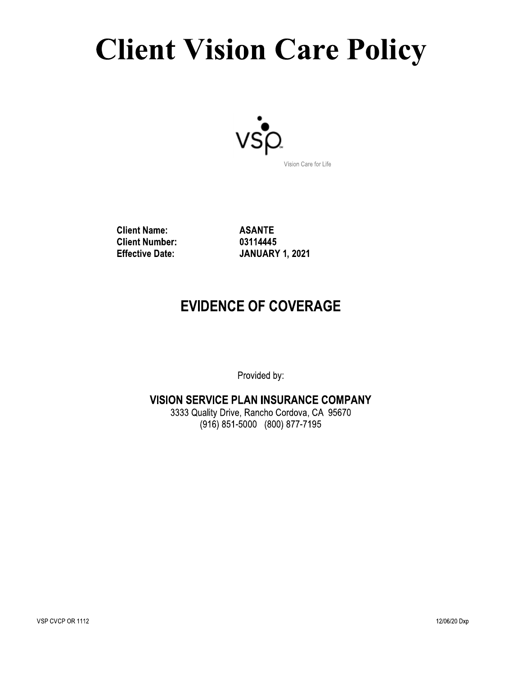# **Client Vision Care Policy**



**Client Name: Client Number: Effective Date:** 

**ASANTE** 03114445 **JANUARY 1, 2021** 

## **EVIDENCE OF COVERAGE**

Provided by:

#### **VISION SERVICE PLAN INSURANCE COMPANY**

3333 Quality Drive, Rancho Cordova, CA 95670 (916) 851-5000 (800) 877-7195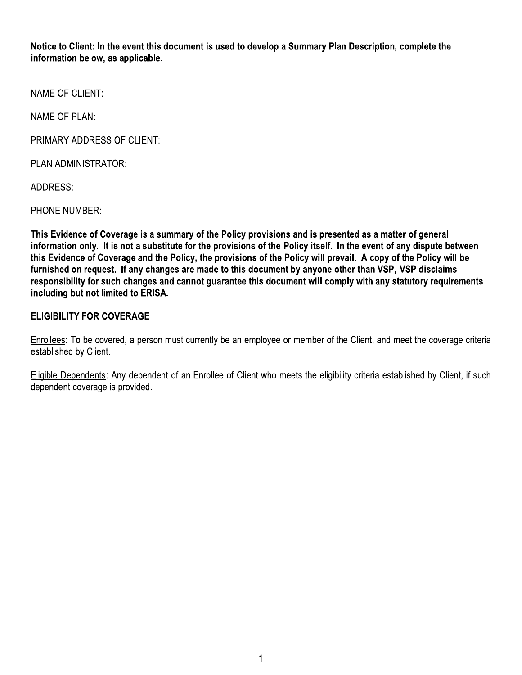Notice to Client: In the event this document is used to develop a Summary Plan Description, complete the information below, as applicable,

Notice to Client: In the event this document is used to devel<br>
information below, as applicable.<br>
NAME OF CLIENT:<br>
NAME OF PLAN:<br>
PRIMARY ADDRESS OF CLIENT:<br>
PLAN ADMINISTRATOR:<br>
ADDRESS:<br>
PHONE NUMBER:<br>
This Evidence of C This Evidence of Coverage is a summary of the Policy provisions and is presented as a matter of general information only. It is not a substitute for the provisions of the Policy itself. In the event of any dispute between this Evidence of Coverage and the Policy, the provisions of the Policy will prevail. A copy of the Policy will be furnished on request. If any changes are made to this document by anyone other than VSP. VSP disclaims responsibility for such changes and cannot quarantee this document will comply with any statutory requirements including but not limited to ERISA.

#### **ELIGIBILITY FOR COVERAGE**

Enrollees: To be covered, a person must currently be an employee or member of the Client, and meet the coverage criteria established by Client.

Eligible Dependents: Any dependent of an Enrollee of Client who meets the eligibility criteria established by Client, if such dependent coverage is provided.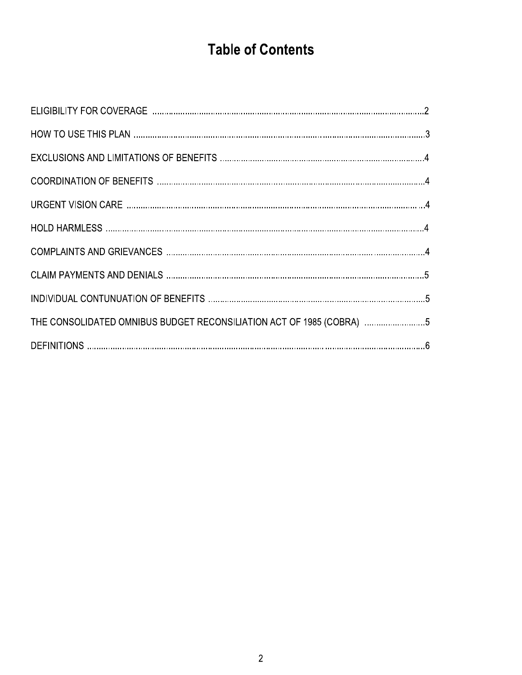# **Table of Contents**

| THE CONSOLIDATED OMNIBUS BUDGET RECONSILIATION ACT OF 1985 (COBRA) 5 |  |
|----------------------------------------------------------------------|--|
|                                                                      |  |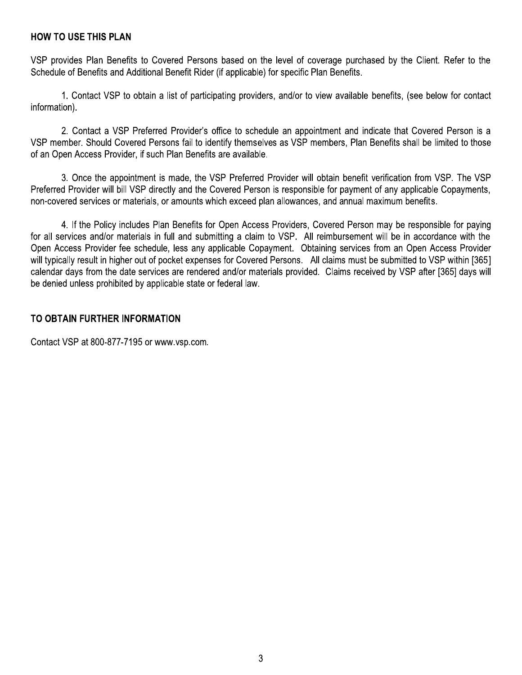#### **HOW TO USE THIS PLAN**

VSP provides Plan Benefits to Covered Persons based on the level of coverage purchased by the Client. Refer to the Schedule of Benefits and Additional Benefit Rider (if applicable) for specific Plan Benefits.

1. Contact VSP to obtain a list of participating providers, and/or to view available benefits, (see below for contact information).

2. Contact a VSP Preferred Provider's office to schedule an appointment and indicate that Covered Person is a VSP member. Should Covered Persons fail to identify themselves as VSP members, Plan Benefits shall be limited to those of an Open Access Provider, if such Plan Benefits are available.

3. Once the appointment is made, the VSP Preferred Provider will obtain benefit verification from VSP. The VSP Preferred Provider will bill VSP directly and the Covered Person is responsible for payment of any applicable Copayments, non-covered services or materials, or amounts which exceed plan allowances, and annual maximum benefits.

4. If the Policy includes Plan Benefits for Open Access Providers, Covered Person may be responsible for paying for all services and/or materials in full and submitting a claim to VSP. All reimbursement will be in accordance with the Open Access Provider fee schedule, less any applicable Copayment. Obtaining services from an Open Access Provider will typically result in higher out of pocket expenses for Covered Persons. All claims must be submitted to VSP within [365] calendar days from the date services are rendered and/or materials provided. Claims received by VSP after [365] days will be denied unless prohibited by applicable state or federal law.

#### TO OBTAIN FURTHER INFORMATION

Contact VSP at 800-877-7195 or www.vsp.com.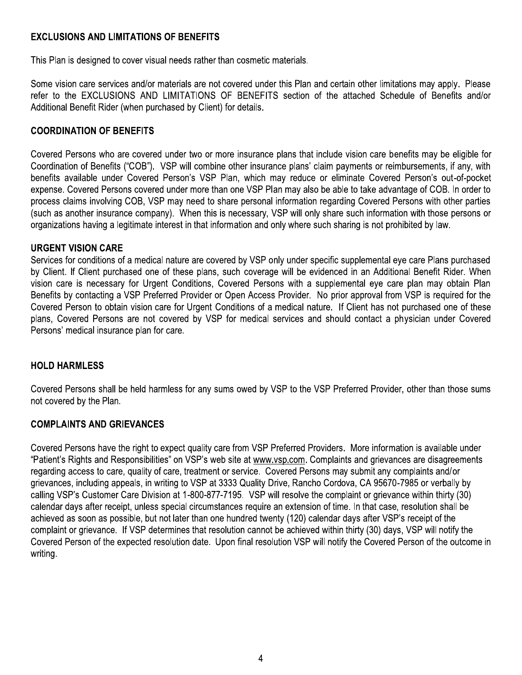#### **EXCLUSIONS AND LIMITATIONS OF BENEFITS**

This Plan is designed to cover visual needs rather than cosmetic materials.

Some vision care services and/or materials are not covered under this Plan and certain other limitations may apply. Please refer to the EXCLUSIONS AND LIMITATIONS OF BENEFITS section of the attached Schedule of Benefits and/or Additional Benefit Rider (when purchased by Client) for details.

#### **COORDINATION OF BENEFITS**

Covered Persons who are covered under two or more insurance plans that include vision care benefits may be eligible for Coordination of Benefits ("COB"). VSP will combine other insurance plans' claim payments or reimbursements, if any, with benefits available under Covered Person's VSP Plan, which may reduce or eliminate Covered Person's out-of-pocket expense. Covered Persons covered under more than one VSP Plan may also be able to take advantage of COB. In order to process claims involving COB, VSP may need to share personal information regarding Covered Persons with other parties (such as another insurance company). When this is necessary, VSP will only share such information with those persons or organizations having a legitimate interest in that information and only where such sharing is not prohibited by law.

#### **URGENT VISION CARE**

Services for conditions of a medical nature are covered by VSP only under specific supplemental eye care Plans purchased by Client. If Client purchased one of these plans, such coverage will be evidenced in an Additional Benefit Rider. When vision care is necessary for Urgent Conditions, Covered Persons with a supplemental eve care plan may obtain Plan Benefits by contacting a VSP Preferred Provider or Open Access Provider. No prior approval from VSP is required for the Covered Person to obtain vision care for Urgent Conditions of a medical nature. If Client has not purchased one of these plans, Covered Persons are not covered by VSP for medical services and should contact a physician under Covered Persons' medical insurance plan for care.

#### **HOLD HARMLESS**

Covered Persons shall be held harmless for any sums owed by VSP to the VSP Preferred Provider, other than those sums not covered by the Plan.

#### **COMPLAINTS AND GRIEVANCES**

Covered Persons have the right to expect quality care from VSP Preferred Providers. More information is available under "Patient's Rights and Responsibilities" on VSP's web site at www.vsp.com. Complaints and grievances are disagreements regarding access to care, quality of care, treatment or service. Covered Persons may submit any complaints and/or grievances, including appeals, in writing to VSP at 3333 Quality Drive, Rancho Cordova, CA 95670-7985 or verbally by calling VSP's Customer Care Division at 1-800-877-7195. VSP will resolve the complaint or grievance within thirty (30) calendar days after receipt, unless special circumstances require an extension of time. In that case, resolution shall be achieved as soon as possible, but not later than one hundred twenty (120) calendar days after VSP's receipt of the complaint or grievance. If VSP determines that resolution cannot be achieved within thirty (30) days, VSP will notify the Covered Person of the expected resolution date. Upon final resolution VSP will notify the Covered Person of the outcome in writing.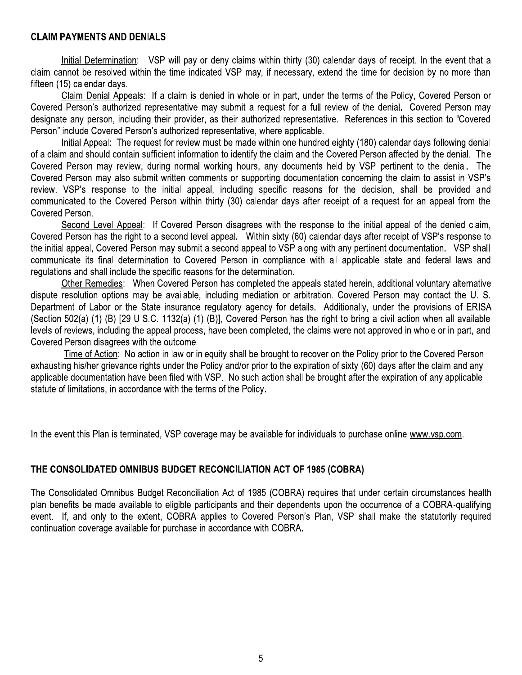### CLAIM PAYMENTS AND DENIALS

**CLAIM PAYMENTS AND DENIALS**<br>
CLAIM PAYMENTS AND DENIALS<br>
Interactionary (SSP will pay or sony claims within thirty (30; caloncar days of receipt in the event that a<br>
dating control be resolved within the time indicated V

In the event this Plan is terminated, VSP coverage may be available for individuals to purchase online www.vsp.com.

## THE CONSOLIDATED OMNIBUS BUDGET RECONCILIATION ACT OF 1985 (COBRA)

In the event this Plan is terminated, VSP coverage may be available for individuals to purchase online www.vsp.com.<br>THE CONSOLIDATED OMNIBUS BUDGET RECONCILIATION ACT OF 1985 (COBRA)<br>The Consolidated Omnibus Budget Reconci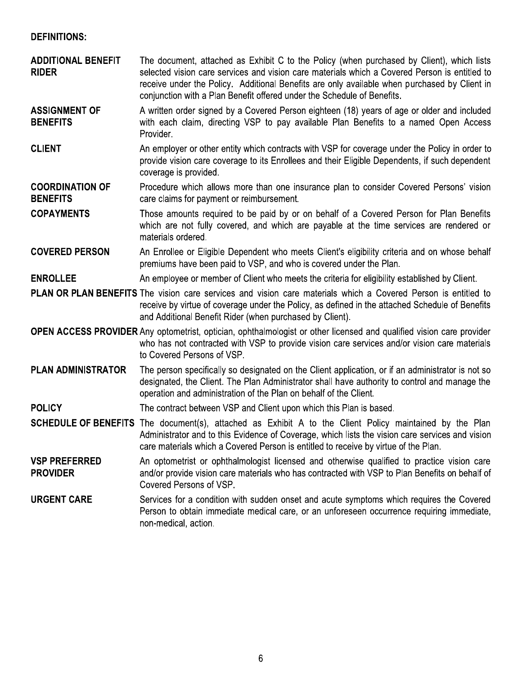#### **DEFINITIONS:**

| <b>ADDITIONAL BENEFIT</b><br><b>RIDER</b> | The document, attached as Exhibit C to the Policy (when purchased by Client), which lists<br>selected vision care services and vision care materials which a Covered Person is entitled to<br>receive under the Policy. Additional Benefits are only available when purchased by Client in<br>conjunction with a Plan Benefit offered under the Schedule of Benefits. |
|-------------------------------------------|-----------------------------------------------------------------------------------------------------------------------------------------------------------------------------------------------------------------------------------------------------------------------------------------------------------------------------------------------------------------------|
| <b>ASSIGNMENT OF</b><br><b>BENEFITS</b>   | A written order signed by a Covered Person eighteen (18) years of age or older and included<br>with each claim, directing VSP to pay available Plan Benefits to a named Open Access<br>Provider.                                                                                                                                                                      |
| <b>CLIENT</b>                             | An employer or other entity which contracts with VSP for coverage under the Policy in order to<br>provide vision care coverage to its Enrollees and their Eligible Dependents, if such dependent<br>coverage is provided.                                                                                                                                             |
| <b>COORDINATION OF</b><br><b>BENEFITS</b> | Procedure which allows more than one insurance plan to consider Covered Persons' vision<br>care claims for payment or reimbursement.                                                                                                                                                                                                                                  |
| <b>COPAYMENTS</b>                         | Those amounts required to be paid by or on behalf of a Covered Person for Plan Benefits<br>which are not fully covered, and which are payable at the time services are rendered or<br>materials ordered.                                                                                                                                                              |
| <b>COVERED PERSON</b>                     | An Enrollee or Eligible Dependent who meets Client's eligibility criteria and on whose behalf<br>premiums have been paid to VSP, and who is covered under the Plan.                                                                                                                                                                                                   |
| <b>ENROLLEE</b>                           | An employee or member of Client who meets the criteria for eligibility established by Client.                                                                                                                                                                                                                                                                         |
|                                           | <b>PLAN OR PLAN BENEFITS</b> The vision care services and vision care materials which a Covered Person is entitled to<br>receive by virtue of coverage under the Policy, as defined in the attached Schedule of Benefits<br>and Additional Benefit Rider (when purchased by Client).                                                                                  |
|                                           | <b>OPEN ACCESS PROVIDER</b> Any optometrist, optician, ophthalmologist or other licensed and qualified vision care provider<br>who has not contracted with VSP to provide vision care services and/or vision care materials<br>to Covered Persons of VSP.                                                                                                             |
| <b>PLAN ADMINISTRATOR</b>                 | The person specifically so designated on the Client application, or if an administrator is not so<br>designated, the Client. The Plan Administrator shall have authority to control and manage the<br>operation and administration of the Plan on behalf of the Client.                                                                                               |
| <b>POLICY</b>                             | The contract between VSP and Client upon which this Plan is based.                                                                                                                                                                                                                                                                                                    |
|                                           | <b>SCHEDULE OF BENEFITS</b> The document(s), attached as Exhibit A to the Client Policy maintained by the Plan<br>Administrator and to this Evidence of Coverage, which lists the vision care services and vision<br>care materials which a Covered Person is entitled to receive by virtue of the Plan.                                                              |
| <b>VSP PREFERRED</b><br><b>PROVIDER</b>   | An optometrist or ophthalmologist licensed and otherwise qualified to practice vision care<br>and/or provide vision care materials who has contracted with VSP to Plan Benefits on behalf of<br>Covered Persons of VSP.                                                                                                                                               |
| <b>URGENT CARE</b>                        | Services for a condition with sudden onset and acute symptoms which requires the Covered<br>Person to obtain immediate medical care, or an unforeseen occurrence requiring immediate,<br>non-medical, action.                                                                                                                                                         |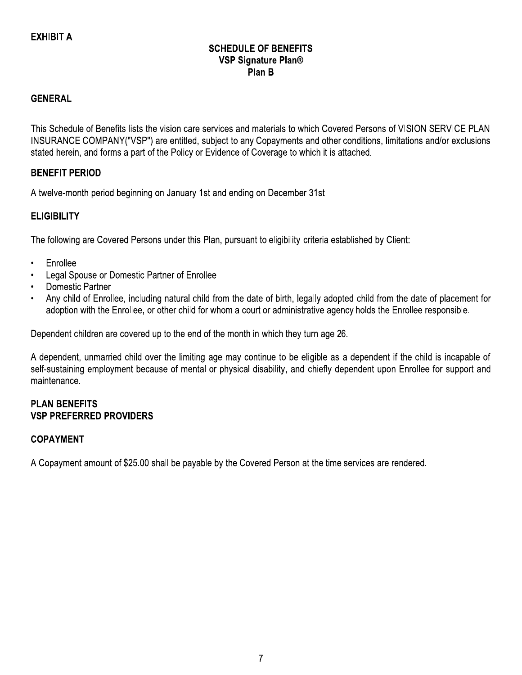#### **SCHEDULE OF BENEFITS VSP Signature Plan®** Plan B

#### **GENERAL**

This Schedule of Benefits lists the vision care services and materials to which Covered Persons of VISION SERVICE PLAN INSURANCE COMPANY("VSP") are entitled, subject to any Copayments and other conditions, limitations and/or exclusions stated herein, and forms a part of the Policy or Evidence of Coverage to which it is attached.

#### **BENEFIT PERIOD**

A twelve-month period beginning on January 1st and ending on December 31st.

#### **ELIGIBILITY**

The following are Covered Persons under this Plan, pursuant to eligibility criteria established by Client:

- Enrollee  $\bullet$
- Legal Spouse or Domestic Partner of Enrollee
- **Domestic Partner**
- Any child of Enrollee, including natural child from the date of birth, legally adopted child from the date of placement for adoption with the Enrollee, or other child for whom a court or administrative agency holds the Enrollee responsible.

Dependent children are covered up to the end of the month in which they turn age 26.

A dependent, unmarried child over the limiting age may continue to be eligible as a dependent if the child is incapable of self-sustaining employment because of mental or physical disability, and chiefly dependent upon Enrollee for support and maintenance.

#### **PLAN BENEFITS VSP PREFERRED PROVIDERS**

#### **COPAYMENT**

A Copayment amount of \$25.00 shall be payable by the Covered Person at the time services are rendered.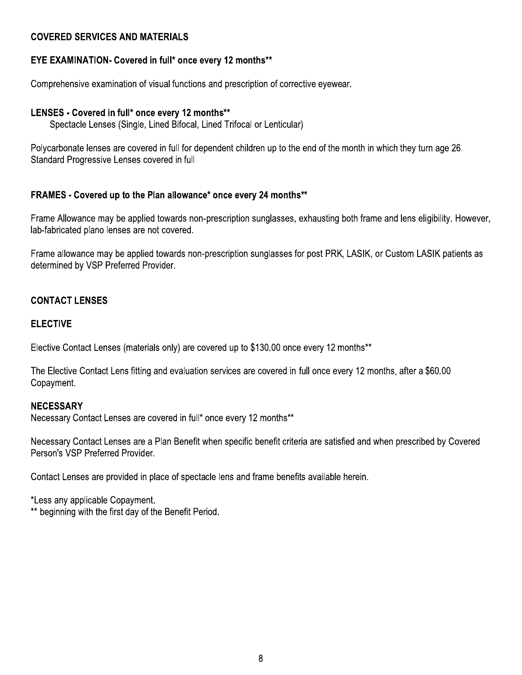#### **COVERED SERVICES AND MATERIALS**

#### **EYE EXAMINATION- Covered in full\* once every 12 months\*\***

Comprehensive examination of visual functions and prescription of corrective eyewear.

#### LENSES - Covered in full\* once every 12 months\*\*

Spectacle Lenses (Single, Lined Bifocal, Lined Trifocal or Lenticular)

Polycarbonate lenses are covered in full for dependent children up to the end of the month in which they turn age 26. Standard Progressive Lenses covered in full

#### FRAMES - Covered up to the Plan allowance\* once every 24 months\*\*

Frame Allowance may be applied towards non-prescription sunglasses, exhausting both frame and lens eligibility. However, lab-fabricated plano lenses are not covered.

Frame allowance may be applied towards non-prescription sunglasses for post PRK, LASIK, or Custom LASIK patients as determined by VSP Preferred Provider.

#### **CONTACT LENSES**

#### **ELECTIVE**

Elective Contact Lenses (materials only) are covered up to \$130.00 once every 12 months\*\*

The Elective Contact Lens fitting and evaluation services are covered in full once every 12 months, after a \$60.00 Copayment.

#### **NECESSARY**

Necessary Contact Lenses are covered in full\* once every 12 months\*\*

Necessary Contact Lenses are a Plan Benefit when specific benefit criteria are satisfied and when prescribed by Covered Person's VSP Preferred Provider.

Contact Lenses are provided in place of spectacle lens and frame benefits available herein.

\*Less any applicable Copayment.

\*\* beginning with the first day of the Benefit Period.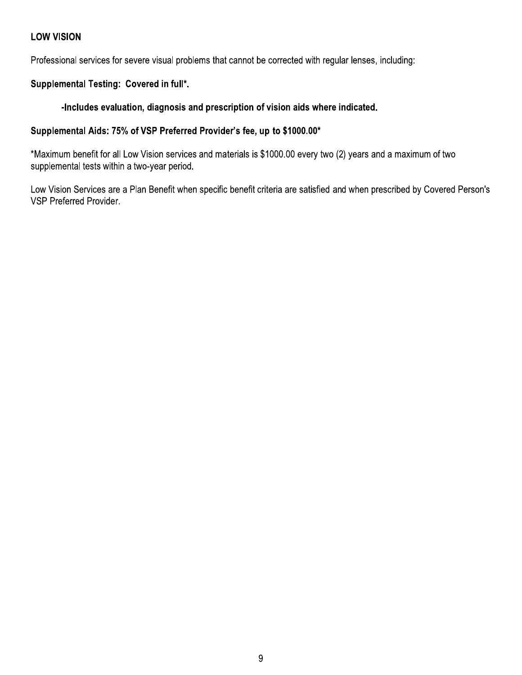#### **LOW VISION**

Professional services for severe visual problems that cannot be corrected with regular lenses, including:

#### Supplemental Testing: Covered in full\*.

#### -Includes evaluation, diagnosis and prescription of vision aids where indicated.

#### Supplemental Aids: 75% of VSP Preferred Provider's fee, up to \$1000.00\*

\*Maximum benefit for all Low Vision services and materials is \$1000.00 every two (2) years and a maximum of two supplemental tests within a two-year period.

Low Vision Services are a Plan Benefit when specific benefit criteria are satisfied and when prescribed by Covered Person's VSP Preferred Provider.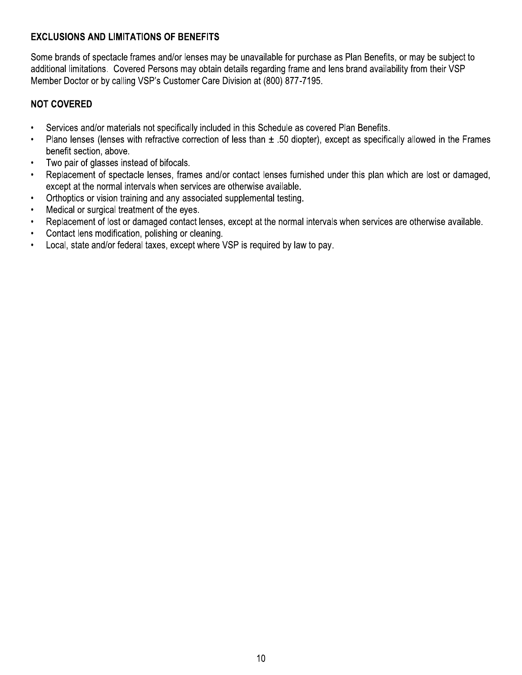#### **EXCLUSIONS AND LIMITATIONS OF BENEFITS**

Some brands of spectacle frames and/or lenses may be unavailable for purchase as Plan Benefits, or may be subject to additional limitations. Covered Persons may obtain details regarding frame and lens brand availability from their VSP Member Doctor or by calling VSP's Customer Care Division at (800) 877-7195.

#### **NOT COVERED**

- Services and/or materials not specifically included in this Schedule as covered Plan Benefits.  $\bullet$
- Plano lenses (lenses with refractive correction of less than  $\pm$  .50 diopter), except as specifically allowed in the Frames  $\bullet$ benefit section, above.
- $\bullet$ Two pair of glasses instead of bifocals.
- Replacement of spectacle lenses, frames and/or contact lenses furnished under this plan which are lost or damaged,  $\bullet$ except at the normal intervals when services are otherwise available.
- Orthoptics or vision training and any associated supplemental testing.
- Medical or surgical treatment of the eyes.  $\bullet$
- Replacement of lost or damaged contact lenses, except at the normal intervals when services are otherwise available.  $\bullet$
- $\bullet$ Contact lens modification, polishing or cleaning.
- Local, state and/or federal taxes, except where VSP is required by law to pay.  $\bullet$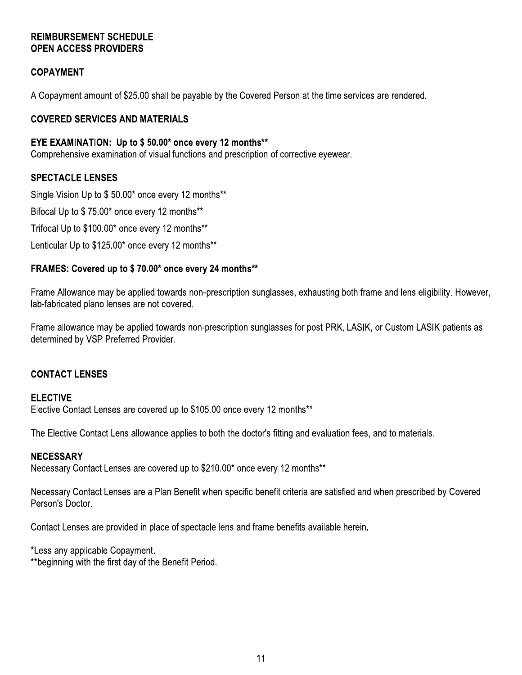#### **REIMBURSEMENT SCHEDULE OPEN ACCESS PROVIDERS**

#### **COPAYMENT**

A Copayment amount of \$25.00 shall be payable by the Covered Person at the time services are rendered.

#### **COVERED SERVICES AND MATERIALS**

#### EYE EXAMINATION: Up to \$50.00\* once every 12 months\*\*

Comprehensive examination of visual functions and prescription of corrective eyewear.

#### **SPECTACLE LENSES**

Single Vision Up to \$50.00\* once every 12 months\*\*

Bifocal Up to \$75.00\* once every 12 months\*\*

Trifocal Up to \$100.00\* once every 12 months\*\*

Lenticular Up to \$125.00\* once every 12 months\*\*

#### FRAMES: Covered up to \$70.00\* once every 24 months\*\*

Frame Allowance may be applied towards non-prescription sunglasses, exhausting both frame and lens eligibility. However, lab-fabricated plano lenses are not covered.

Frame allowance may be applied towards non-prescription sunglasses for post PRK, LASIK, or Custom LASIK patients as determined by VSP Preferred Provider.

#### **CONTACT LENSES**

#### **ELECTIVE**

Elective Contact Lenses are covered up to \$105.00 once every 12 months\*\*

The Elective Contact Lens allowance applies to both the doctor's fitting and evaluation fees, and to materials.

#### **NECESSARY**

Necessary Contact Lenses are covered up to \$210.00\* once every 12 months\*\*

Necessary Contact Lenses are a Plan Benefit when specific benefit criteria are satisfied and when prescribed by Covered Person's Doctor.

Contact Lenses are provided in place of spectacle lens and frame benefits available herein.

\*Less any applicable Copayment.

\*\*beginning with the first day of the Benefit Period.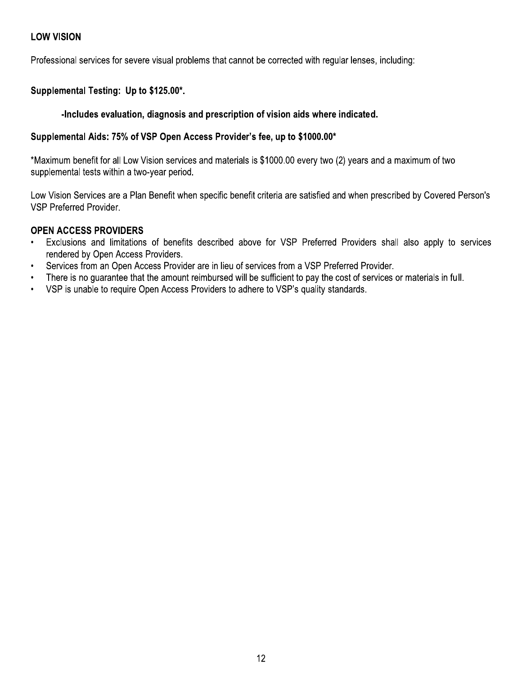#### **LOW VISION**

Professional services for severe visual problems that cannot be corrected with regular lenses, including:

#### Supplemental Testing: Up to \$125.00\*.

#### -Includes evaluation, diagnosis and prescription of vision aids where indicated.

#### Supplemental Aids: 75% of VSP Open Access Provider's fee, up to \$1000.00\*

\*Maximum benefit for all Low Vision services and materials is \$1000.00 every two (2) years and a maximum of two supplemental tests within a two-year period.

Low Vision Services are a Plan Benefit when specific benefit criteria are satisfied and when prescribed by Covered Person's VSP Preferred Provider.

#### **OPEN ACCESS PROVIDERS**

- Exclusions and limitations of benefits described above for VSP Preferred Providers shall also apply to services rendered by Open Access Providers.
- Services from an Open Access Provider are in lieu of services from a VSP Preferred Provider.  $\bullet$
- There is no quarantee that the amount reimbursed will be sufficient to pay the cost of services or materials in full.  $\bullet$
- VSP is unable to require Open Access Providers to adhere to VSP's quality standards.  $\bullet$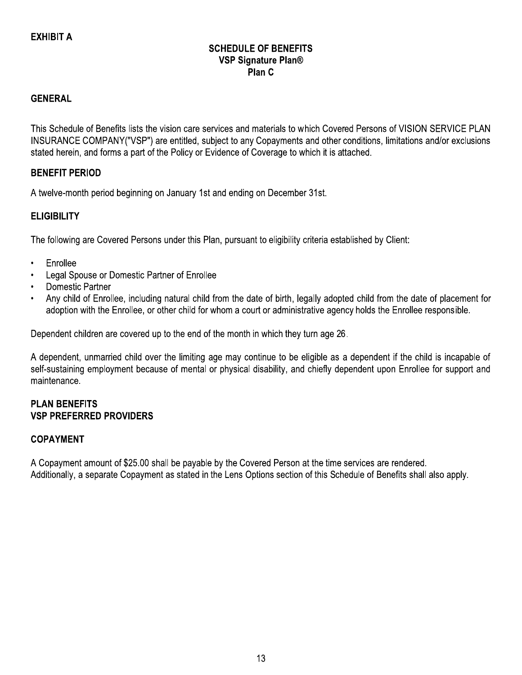#### **SCHEDULE OF BENEFITS VSP Signature Plan®** Plan C

#### **GENERAL**

This Schedule of Benefits lists the vision care services and materials to which Covered Persons of VISION SERVICE PLAN INSURANCE COMPANY("VSP") are entitled, subject to any Copayments and other conditions, limitations and/or exclusions stated herein, and forms a part of the Policy or Evidence of Coverage to which it is attached.

#### **BENEFIT PERIOD**

A twelve-month period beginning on January 1st and ending on December 31st.

#### **ELIGIBILITY**

The following are Covered Persons under this Plan, pursuant to eligibility criteria established by Client:

- Enrollee  $\bullet$
- Legal Spouse or Domestic Partner of Enrollee
- **Domestic Partner**
- Any child of Enrollee, including natural child from the date of birth, legally adopted child from the date of placement for adoption with the Enrollee, or other child for whom a court or administrative agency holds the Enrollee responsible.

Dependent children are covered up to the end of the month in which they turn age 26.

A dependent, unmarried child over the limiting age may continue to be eligible as a dependent if the child is incapable of self-sustaining employment because of mental or physical disability, and chiefly dependent upon Enrollee for support and maintenance.

#### **PLAN BENEFITS VSP PREFERRED PROVIDERS**

#### **COPAYMENT**

A Copayment amount of \$25.00 shall be payable by the Covered Person at the time services are rendered. Additionally, a separate Copayment as stated in the Lens Options section of this Schedule of Benefits shall also apply.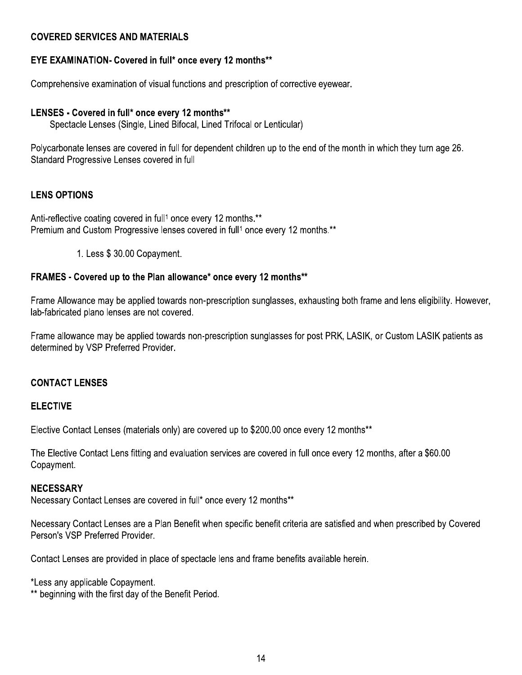#### **COVERED SERVICES AND MATERIALS**

#### **EYE EXAMINATION- Covered in full\* once every 12 months\*\***

Comprehensive examination of visual functions and prescription of corrective eyewear.

#### LENSES - Covered in full\* once every 12 months\*\*

Spectacle Lenses (Single, Lined Bifocal, Lined Trifocal or Lenticular)

Polycarbonate lenses are covered in full for dependent children up to the end of the month in which they turn age 26. Standard Progressive Lenses covered in full

#### **LENS OPTIONS**

Anti-reflective coating covered in full<sup>1</sup> once every 12 months.\*\* Premium and Custom Progressive lenses covered in full<sup>1</sup> once every 12 months.<sup>\*\*</sup>

1. Less \$ 30.00 Copayment.

#### FRAMES - Covered up to the Plan allowance\* once every 12 months\*\*

Frame Allowance may be applied towards non-prescription sunglasses, exhausting both frame and lens eligibility. However, lab-fabricated plano lenses are not covered.

Frame allowance may be applied towards non-prescription sunglasses for post PRK, LASIK, or Custom LASIK patients as determined by VSP Preferred Provider.

#### **CONTACT LENSES**

#### **ELECTIVE**

Elective Contact Lenses (materials only) are covered up to \$200.00 once every 12 months\*\*

The Elective Contact Lens fitting and evaluation services are covered in full once every 12 months, after a \$60.00 Copayment.

#### **NECESSARY**

Necessary Contact Lenses are covered in full\* once every 12 months\*\*

Necessary Contact Lenses are a Plan Benefit when specific benefit criteria are satisfied and when prescribed by Covered Person's VSP Preferred Provider.

Contact Lenses are provided in place of spectacle lens and frame benefits available herein.

\*Less any applicable Copayment.

\*\* beginning with the first day of the Benefit Period.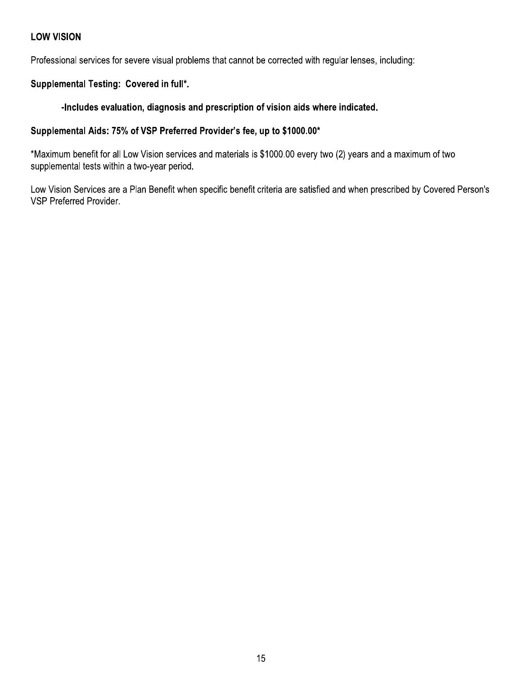#### **LOW VISION**

Professional services for severe visual problems that cannot be corrected with regular lenses, including:

#### Supplemental Testing: Covered in full\*.

#### -Includes evaluation, diagnosis and prescription of vision aids where indicated.

#### Supplemental Aids: 75% of VSP Preferred Provider's fee, up to \$1000.00\*

\*Maximum benefit for all Low Vision services and materials is \$1000.00 every two (2) years and a maximum of two supplemental tests within a two-year period.

Low Vision Services are a Plan Benefit when specific benefit criteria are satisfied and when prescribed by Covered Person's VSP Preferred Provider.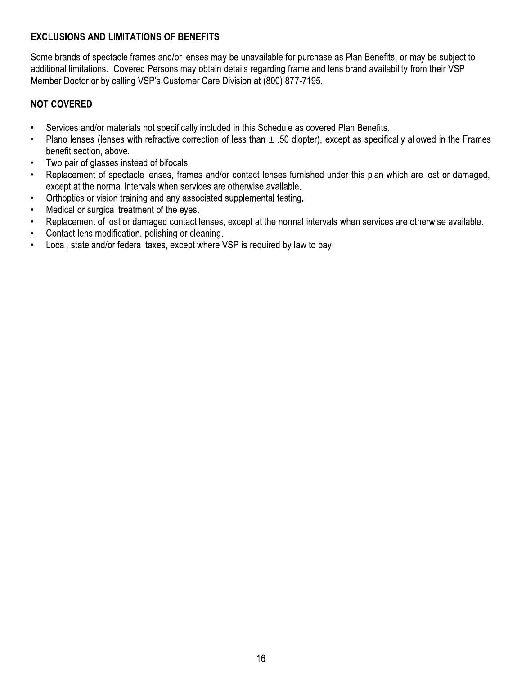#### **EXCLUSIONS AND LIMITATIONS OF BENEFITS**

Some brands of spectacle frames and/or lenses may be unavailable for purchase as Plan Benefits, or may be subject to additional limitations. Covered Persons may obtain details regarding frame and lens brand availability from their VSP Member Doctor or by calling VSP's Customer Care Division at (800) 877-7195.

#### **NOT COVERED**

- Services and/or materials not specifically included in this Schedule as covered Plan Benefits.  $\bullet$
- Plano lenses (lenses with refractive correction of less than  $\pm$  .50 diopter), except as specifically allowed in the Frames  $\bullet$ benefit section, above.
- $\bullet$ Two pair of glasses instead of bifocals.
- Replacement of spectacle lenses, frames and/or contact lenses furnished under this plan which are lost or damaged,  $\bullet$ except at the normal intervals when services are otherwise available.
- Orthoptics or vision training and any associated supplemental testing.
- Medical or surgical treatment of the eyes.  $\bullet$
- Replacement of lost or damaged contact lenses, except at the normal intervals when services are otherwise available.  $\bullet$
- $\bullet$ Contact lens modification, polishing or cleaning.
- Local, state and/or federal taxes, except where VSP is required by law to pay.  $\bullet$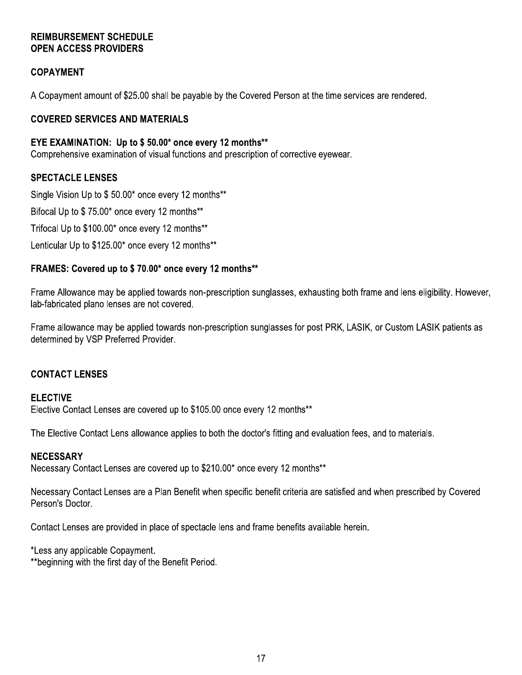#### **REIMBURSEMENT SCHEDULE OPEN ACCESS PROVIDERS**

#### **COPAYMENT**

A Copayment amount of \$25.00 shall be payable by the Covered Person at the time services are rendered.

#### **COVERED SERVICES AND MATERIALS**

#### EYE EXAMINATION: Up to \$50.00\* once every 12 months\*\*

Comprehensive examination of visual functions and prescription of corrective eyewear.

#### **SPECTACLE LENSES**

Single Vision Up to \$50.00\* once every 12 months\*\*

Bifocal Up to \$75.00\* once every 12 months\*\*

Trifocal Up to \$100.00\* once every 12 months\*\*

Lenticular Up to \$125.00\* once every 12 months\*\*

#### FRAMES: Covered up to \$70.00\* once every 12 months\*\*

Frame Allowance may be applied towards non-prescription sunglasses, exhausting both frame and lens eligibility. However, lab-fabricated plano lenses are not covered.

Frame allowance may be applied towards non-prescription sunglasses for post PRK, LASIK, or Custom LASIK patients as determined by VSP Preferred Provider.

#### **CONTACT LENSES**

#### **ELECTIVE**

Elective Contact Lenses are covered up to \$105.00 once every 12 months\*\*

The Elective Contact Lens allowance applies to both the doctor's fitting and evaluation fees, and to materials.

#### **NECESSARY**

Necessary Contact Lenses are covered up to \$210.00\* once every 12 months\*\*

Necessary Contact Lenses are a Plan Benefit when specific benefit criteria are satisfied and when prescribed by Covered Person's Doctor.

Contact Lenses are provided in place of spectacle lens and frame benefits available herein.

\*Less any applicable Copayment.

\*\*beginning with the first day of the Benefit Period.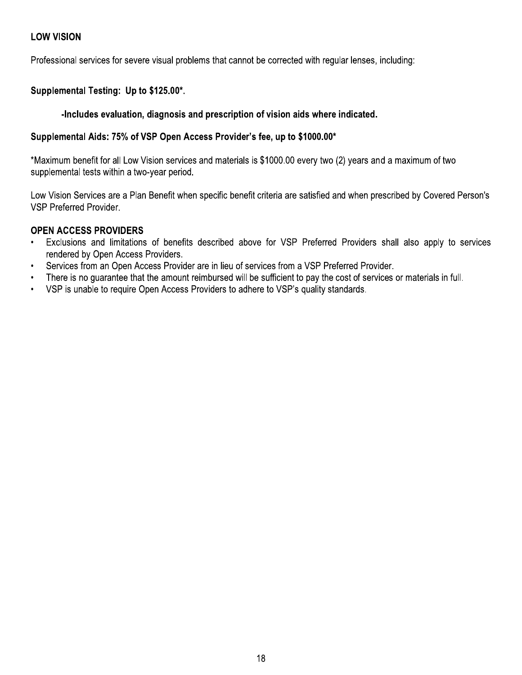#### **LOW VISION**

Professional services for severe visual problems that cannot be corrected with regular lenses, including:

#### Supplemental Testing: Up to \$125.00\*.

#### -Includes evaluation, diagnosis and prescription of vision aids where indicated.

#### Supplemental Aids: 75% of VSP Open Access Provider's fee, up to \$1000.00\*

\*Maximum benefit for all Low Vision services and materials is \$1000.00 every two (2) years and a maximum of two supplemental tests within a two-year period.

Low Vision Services are a Plan Benefit when specific benefit criteria are satisfied and when prescribed by Covered Person's VSP Preferred Provider.

#### **OPEN ACCESS PROVIDERS**

- Exclusions and limitations of benefits described above for VSP Preferred Providers shall also apply to services rendered by Open Access Providers.
- Services from an Open Access Provider are in lieu of services from a VSP Preferred Provider.  $\bullet$
- There is no quarantee that the amount reimbursed will be sufficient to pay the cost of services or materials in full.  $\bullet$
- VSP is unable to require Open Access Providers to adhere to VSP's quality standards.  $\bullet$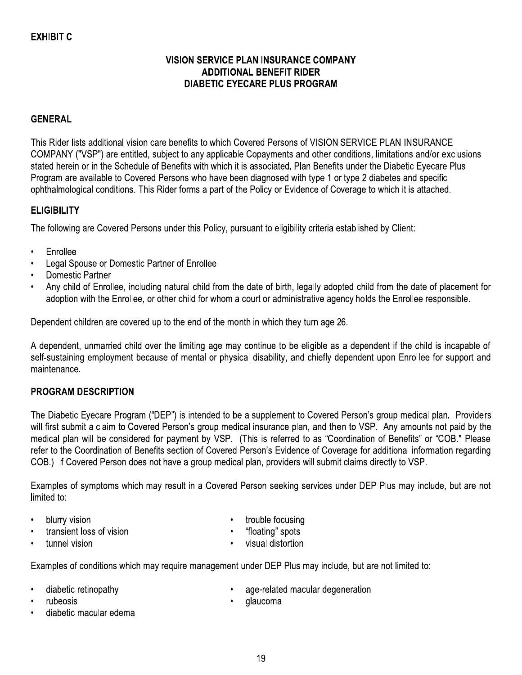#### **EXHIBIT C**

#### **VISION SERVICE PLAN INSURANCE COMPANY ADDITIONAL BENEFIT RIDER DIABETIC EYECARE PLUS PROGRAM**

#### **GENERAL**

This Rider lists additional vision care benefits to which Covered Persons of VISION SERVICE PLAN INSURANCE COMPANY ("VSP") are entitled, subject to any applicable Copayments and other conditions, limitations and/or exclusions stated herein or in the Schedule of Benefits with which it is associated. Plan Benefits under the Diabetic Eyecare Plus Program are available to Covered Persons who have been diagnosed with type 1 or type 2 diabetes and specific ophthalmological conditions. This Rider forms a part of the Policy or Evidence of Coverage to which it is attached.

#### **ELIGIBILITY**

The following are Covered Persons under this Policy, pursuant to eligibility criteria established by Client:

- Enrollee
- Legal Spouse or Domestic Partner of Enrollee
- **Domestic Partner**
- Any child of Enrollee, including natural child from the date of birth, legally adopted child from the date of placement for adoption with the Enrollee, or other child for whom a court or administrative agency holds the Enrollee responsible.

Dependent children are covered up to the end of the month in which they turn age 26.

A dependent, unmarried child over the limiting age may continue to be eligible as a dependent if the child is incapable of self-sustaining employment because of mental or physical disability, and chiefly dependent upon Enrollee for support and maintenance.

#### **PROGRAM DESCRIPTION**

The Diabetic Eyecare Program ("DEP") is intended to be a supplement to Covered Person's group medical plan. Providers will first submit a claim to Covered Person's group medical insurance plan, and then to VSP. Any amounts not paid by the medical plan will be considered for payment by VSP. (This is referred to as "Coordination of Benefits" or "COB." Please refer to the Coordination of Benefits section of Covered Person's Evidence of Coverage for additional information regarding COB.) If Covered Person does not have a group medical plan, providers will submit claims directly to VSP.

Examples of symptoms which may result in a Covered Person seeking services under DEP Plus may include, but are not limited to:

- blurry vision
- transient loss of vision
- trouble focusing
- "floating" spots

tunnel vision

visual distortion

Examples of conditions which may require management under DEP Plus may include, but are not limited to:

- diabetic retinopathy
- rubeosis
- diabetic macular edema
- age-related macular degeneration
- qlaucoma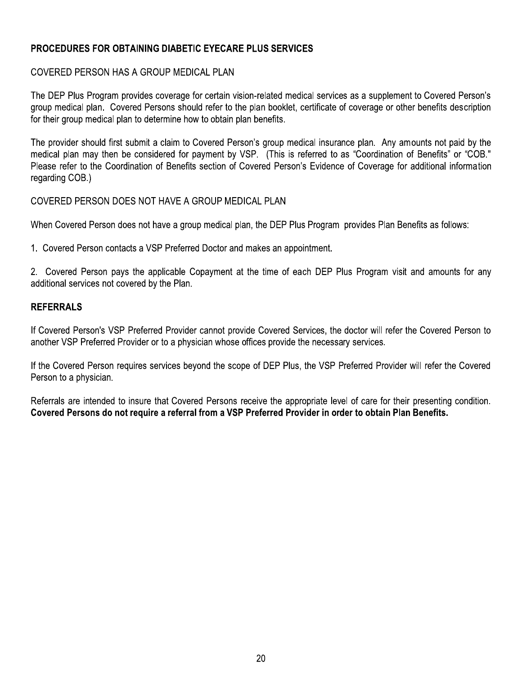#### $\overline{a}$ PROCEDURES FOR OBTAINING DIABETIC EYECARE PLUS SERVICES

**PROCEDURES FOR OBTAINING DIABETIC EYECARE PLUS SERVICES**<br>COVERED PERSON HAS A GROUP MEDICAL PLAN<br>The DEP Plus Program provides coverage for certain vision-related medical services as a supplement to Covered Person's<br>group COVERED PERSON HAS A GROUP MEDICAL PLAN<br>The DEP Plus Program provides coverage for certain vision-related medical services as a supplement to Covered Person's<br>group medical plan. Covered Persons should refer to the plan bo The provider should first submit a claim to Covered Person's group medical insurance plan. Any amounts not paid by the medical plan may then be considered for payment by VSP. (This is referred to as "Coordination of Benefi

### <u>KEFEKKA</u>

1. Covered Person contacts a VSP Preferred Doctor and makes an appointment.<br>2. Covered Person pays the applicable Copayment at the time of each DEP Plus Program visit and amounts for any<br>additional services not covered by 2. Covered Person pays the applicable Copayment at the time of each DEP Plus Program visit and amounts for any<br>additional services not covered by the Plan.<br>If Covered Person's VSP Preferred Provider cannot provide Covered REFERRALS<br>
If Covered Person's VSP Preferred Provider cannot provide Covered Services, the doctor will refer the Covered Person to<br>
another VSP Preferred Provider or to a physician whose offices provide the necessary servi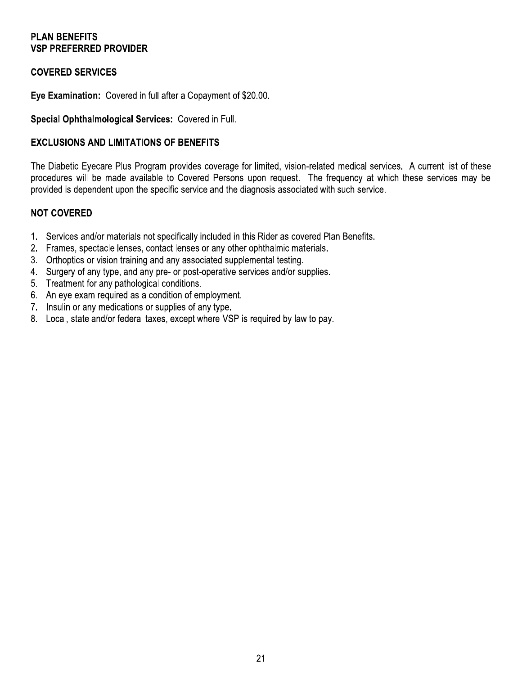#### **PLAN BENEFITS VSP PREFERRED PROVIDER**

#### **COVERED SERVICES**

Eye Examination: Covered in full after a Copayment of \$20.00.

Special Ophthalmological Services: Covered in Full.

#### **EXCLUSIONS AND LIMITATIONS OF BENEFITS**

The Diabetic Eyecare Plus Program provides coverage for limited, vision-related medical services. A current list of these procedures will be made available to Covered Persons upon request. The frequency at which these services may be provided is dependent upon the specific service and the diagnosis associated with such service.

#### **NOT COVERED**

- 1. Services and/or materials not specifically included in this Rider as covered Plan Benefits.
- 2. Frames, spectacle lenses, contact lenses or any other ophthalmic materials.
- 3. Orthoptics or vision training and any associated supplemental testing.
- 4. Surgery of any type, and any pre- or post-operative services and/or supplies.
- 5. Treatment for any pathological conditions.
- 6. An eye exam required as a condition of employment.
- 7. Insulin or any medications or supplies of any type.
- 8. Local, state and/or federal taxes, except where VSP is required by law to pay.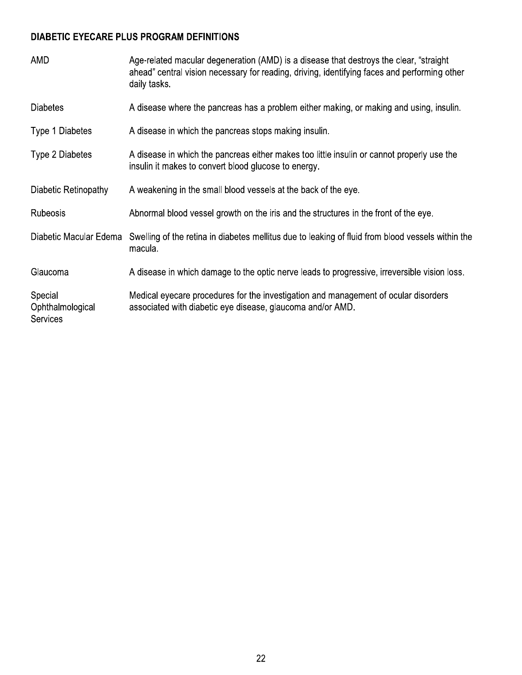#### DIABETIC EYECARE PLUS PROGRAM DEFINITIONS

| AMD                                            | Age-related macular degeneration (AMD) is a disease that destroys the clear, "straight<br>ahead" central vision necessary for reading, driving, identifying faces and performing other<br>daily tasks. |
|------------------------------------------------|--------------------------------------------------------------------------------------------------------------------------------------------------------------------------------------------------------|
| <b>Diabetes</b>                                | A disease where the pancreas has a problem either making, or making and using, insulin.                                                                                                                |
| Type 1 Diabetes                                | A disease in which the pancreas stops making insulin.                                                                                                                                                  |
| Type 2 Diabetes                                | A disease in which the pancreas either makes too little insulin or cannot properly use the<br>insulin it makes to convert blood glucose to energy.                                                     |
| Diabetic Retinopathy                           | A weakening in the small blood vessels at the back of the eye.                                                                                                                                         |
| Rubeosis                                       | Abnormal blood vessel growth on the iris and the structures in the front of the eye.                                                                                                                   |
| Diabetic Macular Edema                         | Swelling of the retina in diabetes mellitus due to leaking of fluid from blood vessels within the<br>macula.                                                                                           |
| Glaucoma                                       | A disease in which damage to the optic nerve leads to progressive, irreversible vision loss.                                                                                                           |
| Special<br>Ophthalmological<br><b>Services</b> | Medical eyecare procedures for the investigation and management of ocular disorders<br>associated with diabetic eye disease, glaucoma and/or AMD.                                                      |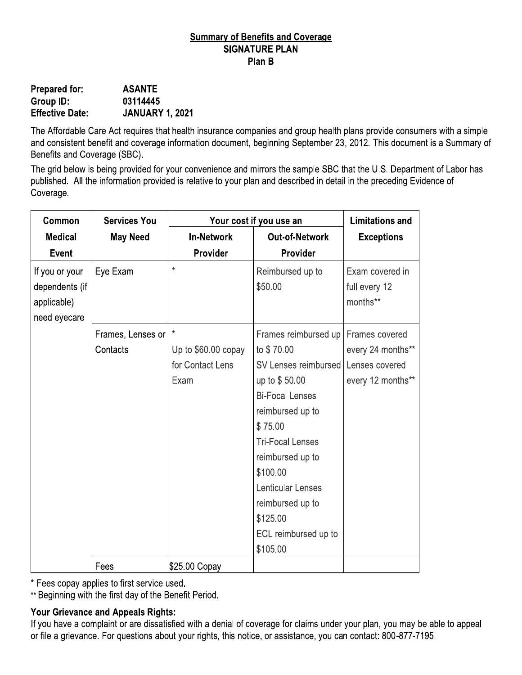#### **Summary of Benefits and Coverage SIGNATURE PLAN** Plan B

| <b>Prepared for:</b>   | <b>ASANTE</b>          |
|------------------------|------------------------|
| Group ID:              | 03114445               |
| <b>Effective Date:</b> | <b>JANUARY 1, 2021</b> |

The Affordable Care Act requires that health insurance companies and group health plans provide consumers with a simple and consistent benefit and coverage information document, beginning September 23, 2012. This document is a Summary of Benefits and Coverage (SBC).

The grid below is being provided for your convenience and mirrors the sample SBC that the U.S. Department of Labor has published. All the information provided is relative to your plan and described in detail in the preceding Evidence of Coverage.

| Common                                                          | <b>Services You</b> | Your cost if you use an |                             | <b>Limitations and</b>                       |
|-----------------------------------------------------------------|---------------------|-------------------------|-----------------------------|----------------------------------------------|
| <b>Medical</b>                                                  | <b>May Need</b>     | <b>In-Network</b>       | <b>Out-of-Network</b>       | <b>Exceptions</b>                            |
| <b>Event</b>                                                    |                     | Provider                | Provider                    |                                              |
| If you or your<br>dependents (if<br>applicable)<br>need eyecare | Eye Exam            | $\star$                 | Reimbursed up to<br>\$50.00 | Exam covered in<br>full every 12<br>months** |
|                                                                 | Frames, Lenses or   | $\star$                 | Frames reimbursed up        | Frames covered                               |
|                                                                 | Contacts            | Up to \$60.00 copay     | to \$70.00                  | every 24 months**                            |
|                                                                 |                     | for Contact Lens        | SV Lenses reimbursed        | Lenses covered                               |
|                                                                 |                     | Exam                    | up to \$50.00               | every 12 months**                            |
|                                                                 |                     |                         | <b>Bi-Focal Lenses</b>      |                                              |
|                                                                 |                     |                         | reimbursed up to            |                                              |
|                                                                 |                     |                         | \$75.00                     |                                              |
|                                                                 |                     |                         | <b>Tri-Focal Lenses</b>     |                                              |
|                                                                 |                     |                         | reimbursed up to            |                                              |
|                                                                 |                     |                         | \$100.00                    |                                              |
|                                                                 |                     |                         | Lenticular Lenses           |                                              |
|                                                                 |                     |                         | reimbursed up to            |                                              |
|                                                                 |                     |                         | \$125.00                    |                                              |
|                                                                 |                     |                         | ECL reimbursed up to        |                                              |
|                                                                 |                     |                         | \$105.00                    |                                              |
|                                                                 | Fees                | \$25.00 Copay           |                             |                                              |

\* Fees copay applies to first service used.

\*\* Beginning with the first day of the Benefit Period.

#### **Your Grievance and Appeals Rights:**

If you have a complaint or are dissatisfied with a denial of coverage for claims under your plan, you may be able to appeal or file a grievance. For questions about your rights, this notice, or assistance, you can contact: 800-877-7195.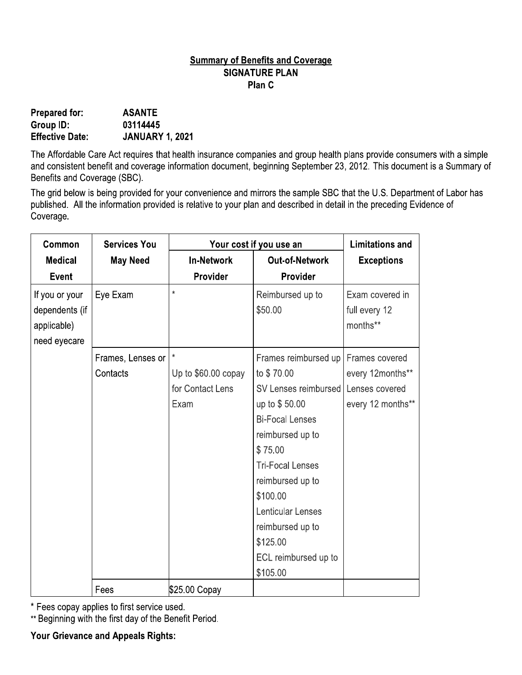#### **Summary of Benefits and Coverage SIGNATURE PLAN** Plan C

| <b>Prepared for:</b>   | <b>ASANTE</b>          |
|------------------------|------------------------|
| Group ID:              | 03114445               |
| <b>Effective Date:</b> | <b>JANUARY 1, 2021</b> |

The Affordable Care Act requires that health insurance companies and group health plans provide consumers with a simple and consistent benefit and coverage information document, beginning September 23, 2012. This document is a Summary of Benefits and Coverage (SBC).

The grid below is being provided for your convenience and mirrors the sample SBC that the U.S. Department of Labor has published. All the information provided is relative to your plan and described in detail in the preceding Evidence of Coverage.

| Common                                                          | <b>Services You</b> | Your cost if you use an |                             | <b>Limitations and</b>                       |
|-----------------------------------------------------------------|---------------------|-------------------------|-----------------------------|----------------------------------------------|
| <b>Medical</b>                                                  | <b>May Need</b>     | <b>In-Network</b>       | <b>Out-of-Network</b>       | <b>Exceptions</b>                            |
| <b>Event</b>                                                    |                     | Provider                | Provider                    |                                              |
| If you or your<br>dependents (if<br>applicable)<br>need eyecare | Eye Exam            | $\star$                 | Reimbursed up to<br>\$50.00 | Exam covered in<br>full every 12<br>months** |
|                                                                 | Frames, Lenses or   | $\star$                 | Frames reimbursed up        | Frames covered                               |
|                                                                 | Contacts            | Up to \$60.00 copay     | to \$70.00                  | every 12months**                             |
|                                                                 |                     | for Contact Lens        | SV Lenses reimbursed        | Lenses covered                               |
|                                                                 |                     | Exam                    | up to \$50.00               | every 12 months**                            |
|                                                                 |                     |                         | <b>Bi-Focal Lenses</b>      |                                              |
|                                                                 |                     |                         | reimbursed up to            |                                              |
|                                                                 |                     |                         | \$75.00                     |                                              |
|                                                                 |                     |                         | <b>Tri-Focal Lenses</b>     |                                              |
|                                                                 |                     |                         | reimbursed up to            |                                              |
|                                                                 |                     |                         | \$100.00                    |                                              |
|                                                                 |                     |                         | Lenticular Lenses           |                                              |
|                                                                 |                     |                         | reimbursed up to            |                                              |
|                                                                 |                     |                         | \$125.00                    |                                              |
|                                                                 |                     |                         | ECL reimbursed up to        |                                              |
|                                                                 |                     |                         | \$105.00                    |                                              |
|                                                                 | Fees                | \$25.00 Copay           |                             |                                              |

\* Fees copay applies to first service used.

\*\* Beginning with the first day of the Benefit Period.

**Your Grievance and Appeals Rights:**